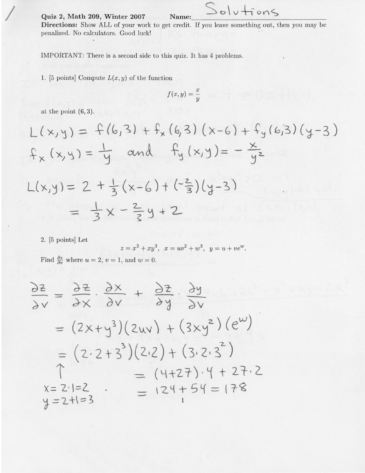/ Quiz 2, Math 209, Winter 2OOT Name:

Directions: Show ALL of your work to get credit. If you leave something out, then you may be penalized. No calculators. Good luck!

 $S$ olutions

IMPORTANT: There is a second side to this quiz. It has 4 problems

1. [5 points] Compute  $L(x,y)$  of the function

$$
f(x,y) = \frac{x}{y}
$$

at the point  $(6,3)$ .

/

$$
L(x,y) = f(6,3) + f_x(6,3) (x-6) + f_y(6,3) (y-3)
$$
  
\n
$$
f_x(x,y) = \frac{1}{y} \text{ and } f_y(x,y) = -\frac{x}{y^2}
$$
  
\n
$$
L(x,y) = 2 + \frac{1}{3} (x-6) + (-\frac{2}{3}) (y-3)
$$
  
\n
$$
= \frac{1}{3}x - \frac{2}{3}y + 2
$$

2. [5 points] Let

$$
z = x2 + xy3
$$
,  $x = uv2 + w3$ ,  $y = u + vew$ .

Find  $\frac{\partial z}{\partial v}$  where  $u = 2, v = 1$ , and  $w = 0$ .

$$
\frac{\partial z}{\partial v} = \frac{\partial z}{\partial x} \cdot \frac{\partial x}{\partial v} + \frac{\partial z}{\partial y} \cdot \frac{\partial y}{\partial v}
$$
  
=  $(2x+y^3)(2uv) + (3xy^2)(e^w)$   
=  $(2 \cdot 2 + 3^3)(2 \cdot 2) + (3 \cdot 2 \cdot 3^2)$   

$$
\uparrow = (4+27) \cdot 4 + 27 \cdot 2
$$
  

$$
x = 2 \cdot 1 = 2
$$
  

$$
y = 2 + 1 = 3
$$
  

$$
y = 2 + 1 = 3
$$